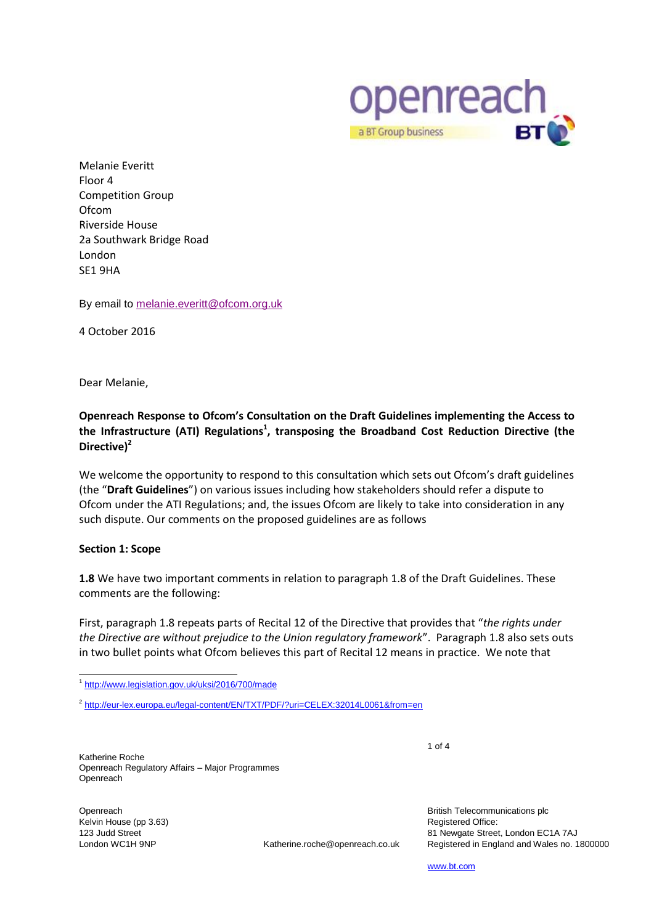

Melanie Everitt Floor 4 Competition Group **Ofcom** Riverside House 2a Southwark Bridge Road London SE1 9HA

By email to [melanie.everitt@ofcom.org.uk](mailto:melanie.everitt@ofcom.org.uk)

4 October 2016

Dear Melanie,

# **Openreach Response to Ofcom's Consultation on the Draft Guidelines implementing the Access to the Infrastructure (ATI) Regulations<sup>1</sup> , transposing the Broadband Cost Reduction Directive (the Directive)<sup>2</sup>**

We welcome the opportunity to respond to this consultation which sets out Ofcom's draft guidelines (the "**Draft Guidelines**") on various issues including how stakeholders should refer a dispute to Ofcom under the ATI Regulations; and, the issues Ofcom are likely to take into consideration in any such dispute. Our comments on the proposed guidelines are as follows

#### **Section 1: Scope**

**1.8** We have two important comments in relation to paragraph 1.8 of the Draft Guidelines. These comments are the following:

First, paragraph 1.8 repeats parts of Recital 12 of the Directive that provides that "*the rights under the Directive are without prejudice to the Union regulatory framework*". Paragraph 1.8 also sets outs in two bullet points what Ofcom believes this part of Recital 12 means in practice. We note that

Katherine Roche Openreach Regulatory Affairs – Major Programmes **Openreach** 

Openreach Kelvin House (pp 3.63) 123 Judd Street

London WC1H 9NP Katherine.roche@openreach.co.uk

British Telecommunications plc Registered Office: 81 Newgate Street, London EC1A 7AJ Registered in England and Wales no. 1800000

[www.bt.com](http://www.bt.com/)

1 of 4

\_<br><sup>1</sup> <http://www.legislation.gov.uk/uksi/2016/700/made>

<sup>&</sup>lt;sup>2</sup> <http://eur-lex.europa.eu/legal-content/EN/TXT/PDF/?uri=CELEX:32014L0061&from=en>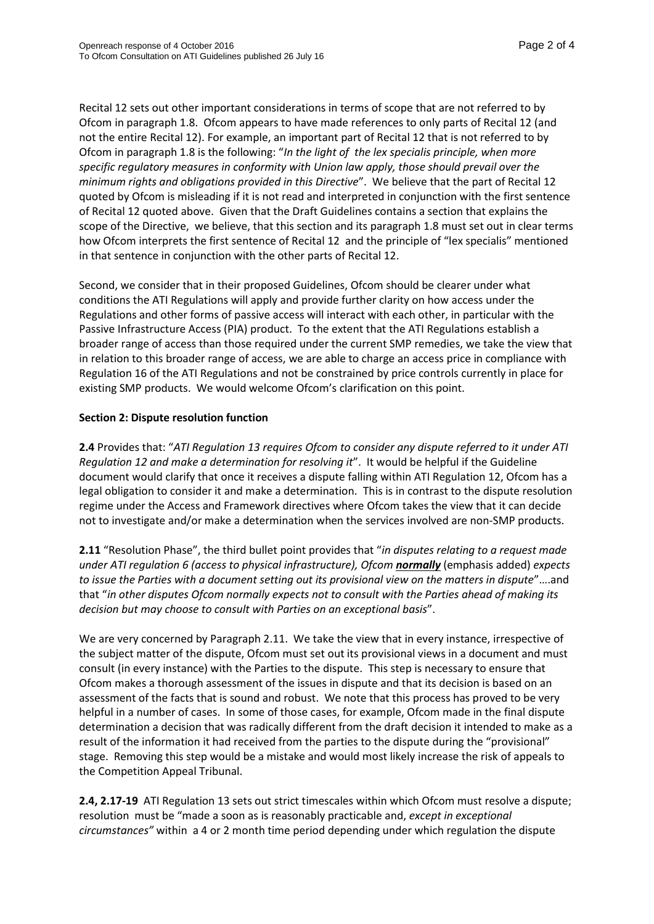Recital 12 sets out other important considerations in terms of scope that are not referred to by Ofcom in paragraph 1.8. Ofcom appears to have made references to only parts of Recital 12 (and not the entire Recital 12). For example, an important part of Recital 12 that is not referred to by Ofcom in paragraph 1.8 is the following: "*In the light of the lex specialis principle, when more specific regulatory measures in conformity with Union law apply, those should prevail over the minimum rights and obligations provided in this Directive*". We believe that the part of Recital 12 quoted by Ofcom is misleading if it is not read and interpreted in conjunction with the first sentence of Recital 12 quoted above. Given that the Draft Guidelines contains a section that explains the scope of the Directive, we believe, that this section and its paragraph 1.8 must set out in clear terms how Ofcom interprets the first sentence of Recital 12 and the principle of "lex specialis" mentioned in that sentence in conjunction with the other parts of Recital 12.

Second, we consider that in their proposed Guidelines, Ofcom should be clearer under what conditions the ATI Regulations will apply and provide further clarity on how access under the Regulations and other forms of passive access will interact with each other, in particular with the Passive Infrastructure Access (PIA) product. To the extent that the ATI Regulations establish a broader range of access than those required under the current SMP remedies, we take the view that in relation to this broader range of access, we are able to charge an access price in compliance with Regulation 16 of the ATI Regulations and not be constrained by price controls currently in place for existing SMP products. We would welcome Ofcom's clarification on this point.

### **Section 2: Dispute resolution function**

**2.4** Provides that: "*ATI Regulation 13 requires Ofcom to consider any dispute referred to it under ATI Regulation 12 and make a determination for resolving it*". It would be helpful if the Guideline document would clarify that once it receives a dispute falling within ATI Regulation 12, Ofcom has a legal obligation to consider it and make a determination. This is in contrast to the dispute resolution regime under the Access and Framework directives where Ofcom takes the view that it can decide not to investigate and/or make a determination when the services involved are non-SMP products.

**2.11** "Resolution Phase", the third bullet point provides that "*in disputes relating to a request made under ATI regulation 6 (access to physical infrastructure), Ofcom normally* (emphasis added) *expects to issue the Parties with a document setting out its provisional view on the matters in dispute*"….and that "*in other disputes Ofcom normally expects not to consult with the Parties ahead of making its decision but may choose to consult with Parties on an exceptional basis*".

We are very concerned by Paragraph 2.11. We take the view that in every instance, irrespective of the subject matter of the dispute, Ofcom must set out its provisional views in a document and must consult (in every instance) with the Parties to the dispute. This step is necessary to ensure that Ofcom makes a thorough assessment of the issues in dispute and that its decision is based on an assessment of the facts that is sound and robust. We note that this process has proved to be very helpful in a number of cases. In some of those cases, for example, Ofcom made in the final dispute determination a decision that was radically different from the draft decision it intended to make as a result of the information it had received from the parties to the dispute during the "provisional" stage. Removing this step would be a mistake and would most likely increase the risk of appeals to the Competition Appeal Tribunal.

**2.4, 2.17-19** ATI Regulation 13 sets out strict timescales within which Ofcom must resolve a dispute; resolution must be "made a soon as is reasonably practicable and, *except in exceptional circumstances"* within a 4 or 2 month time period depending under which regulation the dispute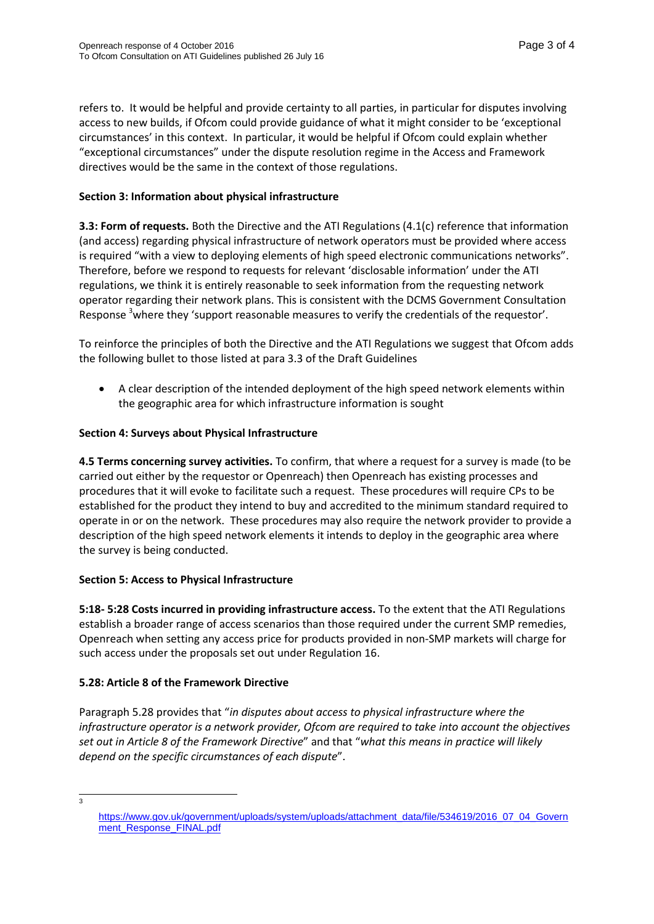refers to. It would be helpful and provide certainty to all parties, in particular for disputes involving access to new builds, if Ofcom could provide guidance of what it might consider to be 'exceptional circumstances' in this context. In particular, it would be helpful if Ofcom could explain whether "exceptional circumstances" under the dispute resolution regime in the Access and Framework directives would be the same in the context of those regulations.

## **Section 3: Information about physical infrastructure**

**3.3: Form of requests.** Both the Directive and the ATI Regulations (4.1(c) reference that information (and access) regarding physical infrastructure of network operators must be provided where access is required "with a view to deploying elements of high speed electronic communications networks". Therefore, before we respond to requests for relevant 'disclosable information' under the ATI regulations, we think it is entirely reasonable to seek information from the requesting network operator regarding their network plans. This is consistent with the DCMS Government Consultation Response <sup>3</sup>where they 'support reasonable measures to verify the credentials of the requestor'.

To reinforce the principles of both the Directive and the ATI Regulations we suggest that Ofcom adds the following bullet to those listed at para 3.3 of the Draft Guidelines

 A clear description of the intended deployment of the high speed network elements within the geographic area for which infrastructure information is sought

### **Section 4: Surveys about Physical Infrastructure**

**4.5 Terms concerning survey activities.** To confirm, that where a request for a survey is made (to be carried out either by the requestor or Openreach) then Openreach has existing processes and procedures that it will evoke to facilitate such a request. These procedures will require CPs to be established for the product they intend to buy and accredited to the minimum standard required to operate in or on the network. These procedures may also require the network provider to provide a description of the high speed network elements it intends to deploy in the geographic area where the survey is being conducted.

#### **Section 5: Access to Physical Infrastructure**

**5:18- 5:28 Costs incurred in providing infrastructure access.** To the extent that the ATI Regulations establish a broader range of access scenarios than those required under the current SMP remedies, Openreach when setting any access price for products provided in non-SMP markets will charge for such access under the proposals set out under Regulation 16.

## **5.28: Article 8 of the Framework Directive**

Paragraph 5.28 provides that "*in disputes about access to physical infrastructure where the infrastructure operator is a network provider, Ofcom are required to take into account the objectives set out in Article 8 of the Framework Directive*" and that "*what this means in practice will likely depend on the specific circumstances of each dispute*".

 $\frac{1}{3}$ 

[https://www.gov.uk/government/uploads/system/uploads/attachment\\_data/file/534619/2016\\_07\\_04\\_Govern](https://www.gov.uk/government/uploads/system/uploads/attachment_data/file/534619/2016_07_04_Government_Response_FINAL.pdf) [ment\\_Response\\_FINAL.pdf](https://www.gov.uk/government/uploads/system/uploads/attachment_data/file/534619/2016_07_04_Government_Response_FINAL.pdf)